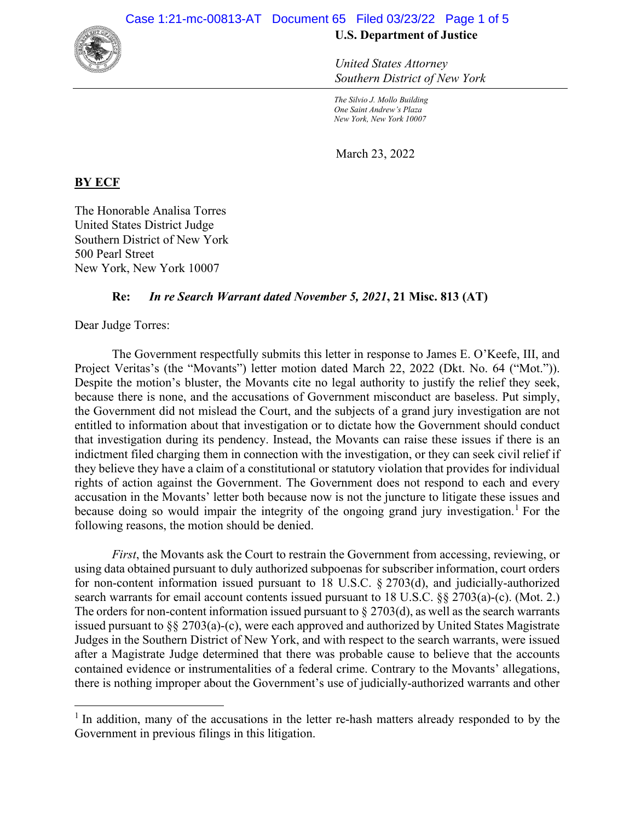

*United States Attorney Southern District of New York*

*The Silvio J. Mollo Building One Saint Andrew's Plaza New York, New York 10007*

March 23, 2022

## **BY ECF**

The Honorable Analisa Torres United States District Judge Southern District of New York 500 Pearl Street New York, New York 10007

## **Re:** *In re Search Warrant dated November 5, 2021***, 21 Misc. 813 (AT)**

Dear Judge Torres:

The Government respectfully submits this letter in response to James E. O'Keefe, III, and Project Veritas's (the "Movants") letter motion dated March 22, 2022 (Dkt. No. 64 ("Mot.")). Despite the motion's bluster, the Movants cite no legal authority to justify the relief they seek, because there is none, and the accusations of Government misconduct are baseless. Put simply, the Government did not mislead the Court, and the subjects of a grand jury investigation are not entitled to information about that investigation or to dictate how the Government should conduct that investigation during its pendency. Instead, the Movants can raise these issues if there is an indictment filed charging them in connection with the investigation, or they can seek civil relief if they believe they have a claim of a constitutional or statutory violation that provides for individual rights of action against the Government. The Government does not respond to each and every accusation in the Movants' letter both because now is not the juncture to litigate these issues and because doing so would impair the integrity of the ongoing grand jury investigation.<sup>1</sup> For the following reasons, the motion should be denied.

*First*, the Movants ask the Court to restrain the Government from accessing, reviewing, or using data obtained pursuant to duly authorized subpoenas for subscriber information, court orders for non-content information issued pursuant to 18 U.S.C. § 2703(d), and judicially-authorized search warrants for email account contents issued pursuant to 18 U.S.C. §§ 2703(a)-(c). (Mot. 2.) The orders for non-content information issued pursuant to  $\S 2703(d)$ , as well as the search warrants issued pursuant to  $\S$  2703(a)-(c), were each approved and authorized by United States Magistrate Judges in the Southern District of New York, and with respect to the search warrants, were issued after a Magistrate Judge determined that there was probable cause to believe that the accounts contained evidence or instrumentalities of a federal crime. Contrary to the Movants' allegations, there is nothing improper about the Government's use of judicially-authorized warrants and other

<sup>&</sup>lt;sup>1</sup> In addition, many of the accusations in the letter re-hash matters already responded to by the Government in previous filings in this litigation.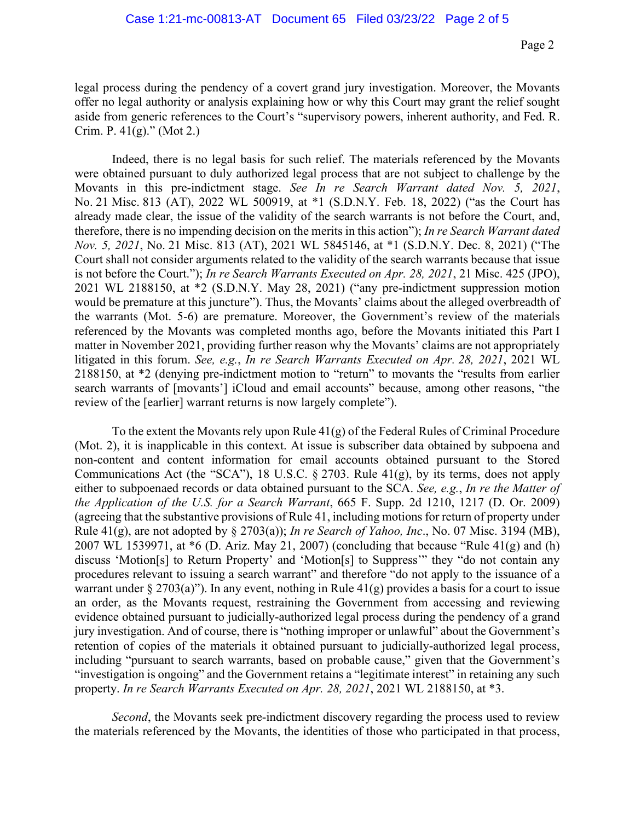legal process during the pendency of a covert grand jury investigation. Moreover, the Movants offer no legal authority or analysis explaining how or why this Court may grant the relief sought aside from generic references to the Court's "supervisory powers, inherent authority, and Fed. R. Crim. P.  $41(g)$ ." (Mot 2.)

Indeed, there is no legal basis for such relief. The materials referenced by the Movants were obtained pursuant to duly authorized legal process that are not subject to challenge by the Movants in this pre-indictment stage. *See In re Search Warrant dated Nov. 5, 2021*, No. 21 Misc. 813 (AT), 2022 WL 500919, at \*1 (S.D.N.Y. Feb. 18, 2022) ("as the Court has already made clear, the issue of the validity of the search warrants is not before the Court, and, therefore, there is no impending decision on the merits in this action"); *In re Search Warrant dated Nov. 5, 2021*, No. 21 Misc. 813 (AT), 2021 WL 5845146, at \*1 (S.D.N.Y. Dec. 8, 2021) ("The Court shall not consider arguments related to the validity of the search warrants because that issue is not before the Court."); *In re Search Warrants Executed on Apr. 28, 2021*, 21 Misc. 425 (JPO), 2021 WL 2188150, at \*2 (S.D.N.Y. May 28, 2021) ("any pre-indictment suppression motion would be premature at this juncture"). Thus, the Movants' claims about the alleged overbreadth of the warrants (Mot. 5-6) are premature. Moreover, the Government's review of the materials referenced by the Movants was completed months ago, before the Movants initiated this Part I matter in November 2021, providing further reason why the Movants' claims are not appropriately litigated in this forum. *See, e.g.*, *In re Search Warrants Executed on Apr. 28, 2021*, 2021 WL 2188150, at \*2 (denying pre-indictment motion to "return" to movants the "results from earlier search warrants of [movants'] iCloud and email accounts" because, among other reasons, "the review of the [earlier] warrant returns is now largely complete").

To the extent the Movants rely upon Rule 41(g) of the Federal Rules of Criminal Procedure (Mot. 2), it is inapplicable in this context. At issue is subscriber data obtained by subpoena and non-content and content information for email accounts obtained pursuant to the Stored Communications Act (the "SCA"), 18 U.S.C. § 2703. Rule 41(g), by its terms, does not apply either to subpoenaed records or data obtained pursuant to the SCA. *See, e.g.*, *In re the Matter of the Application of the U.S. for a Search Warrant*, 665 F. Supp. 2d 1210, 1217 (D. Or. 2009) (agreeing that the substantive provisions of Rule 41, including motions for return of property under Rule 41(g), are not adopted by § 2703(a)); *In re Search of Yahoo, Inc*., No. 07 Misc. 3194 (MB), 2007 WL 1539971, at \*6 (D. Ariz. May 21, 2007) (concluding that because "Rule 41(g) and (h) discuss 'Motion[s] to Return Property' and 'Motion[s] to Suppress'" they "do not contain any procedures relevant to issuing a search warrant" and therefore "do not apply to the issuance of a warrant under § 2703(a)"). In any event, nothing in Rule  $41(g)$  provides a basis for a court to issue an order, as the Movants request, restraining the Government from accessing and reviewing evidence obtained pursuant to judicially-authorized legal process during the pendency of a grand jury investigation. And of course, there is "nothing improper or unlawful" about the Government's retention of copies of the materials it obtained pursuant to judicially-authorized legal process, including "pursuant to search warrants, based on probable cause," given that the Government's "investigation is ongoing" and the Government retains a "legitimate interest" in retaining any such property. *In re Search Warrants Executed on Apr. 28, 2021*, 2021 WL 2188150, at \*3.

*Second*, the Movants seek pre-indictment discovery regarding the process used to review the materials referenced by the Movants, the identities of those who participated in that process,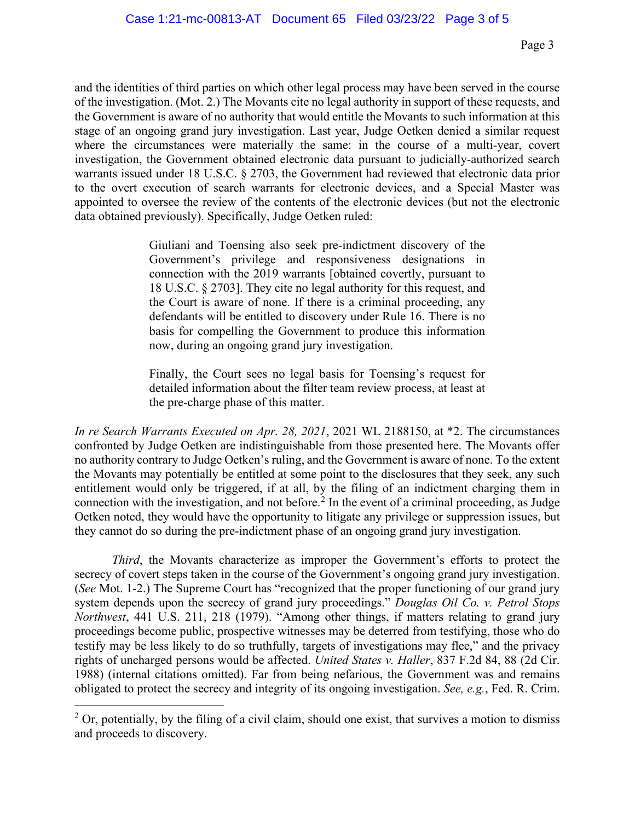and the identities of third parties on which other legal process may have been served in the course of the investigation. (Mot. 2.) The Movants cite no legal authority in support of these requests, and the Government is aware of no authority that would entitle the Movants to such information at this stage of an ongoing grand jury investigation. Last year, Judge Oetken denied a similar request where the circumstances were materially the same: in the course of a multi-year, covert investigation, the Government obtained electronic data pursuant to judicially-authorized search warrants issued under 18 U.S.C. § 2703, the Government had reviewed that electronic data prior to the overt execution of search warrants for electronic devices, and a Special Master was appointed to oversee the review of the contents of the electronic devices (but not the electronic data obtained previously). Specifically, Judge Oetken ruled:

> Giuliani and Toensing also seek pre-indictment discovery of the Government's privilege and responsiveness designations in connection with the 2019 warrants [obtained covertly, pursuant to 18 U.S.C. § 2703]. They cite no legal authority for this request, and the Court is aware of none. If there is a criminal proceeding, any defendants will be entitled to discovery under Rule 16. There is no basis for compelling the Government to produce this information now, during an ongoing grand jury investigation.

> Finally, the Court sees no legal basis for Toensing's request for detailed information about the filter team review process, at least at the pre-charge phase of this matter.

*In re Search Warrants Executed on Apr. 28, 2021*, 2021 WL 2188150, at \*2. The circumstances confronted by Judge Oetken are indistinguishable from those presented here. The Movants offer no authority contrary to Judge Oetken's ruling, and the Government is aware of none. To the extent the Movants may potentially be entitled at some point to the disclosures that they seek, any such entitlement would only be triggered, if at all, by the filing of an indictment charging them in connection with the investigation, and not before.<sup>2</sup> In the event of a criminal proceeding, as Judge Oetken noted, they would have the opportunity to litigate any privilege or suppression issues, but they cannot do so during the pre-indictment phase of an ongoing grand jury investigation.

*Third*, the Movants characterize as improper the Government's efforts to protect the secrecy of covert steps taken in the course of the Government's ongoing grand jury investigation. (*See* Mot. 1-2.) The Supreme Court has "recognized that the proper functioning of our grand jury system depends upon the secrecy of grand jury proceedings." *Douglas Oil Co. v. Petrol Stops Northwest*, 441 U.S. 211, 218 (1979). "Among other things, if matters relating to grand jury proceedings become public, prospective witnesses may be deterred from testifying, those who do testify may be less likely to do so truthfully, targets of investigations may flee," and the privacy rights of uncharged persons would be affected. *United States v. Haller*, 837 F.2d 84, 88 (2d Cir. 1988) (internal citations omitted). Far from being nefarious, the Government was and remains obligated to protect the secrecy and integrity of its ongoing investigation. *See, e.g.*, Fed. R. Crim.

 $2$  Or, potentially, by the filing of a civil claim, should one exist, that survives a motion to dismiss and proceeds to discovery.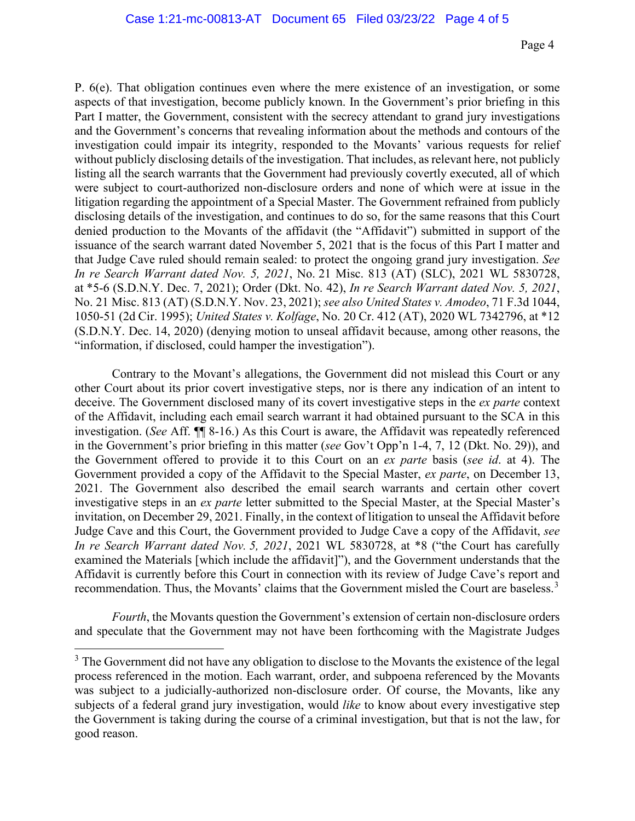P. 6(e). That obligation continues even where the mere existence of an investigation, or some aspects of that investigation, become publicly known. In the Government's prior briefing in this Part I matter, the Government, consistent with the secrecy attendant to grand jury investigations and the Government's concerns that revealing information about the methods and contours of the investigation could impair its integrity, responded to the Movants' various requests for relief without publicly disclosing details of the investigation. That includes, as relevant here, not publicly listing all the search warrants that the Government had previously covertly executed, all of which were subject to court-authorized non-disclosure orders and none of which were at issue in the litigation regarding the appointment of a Special Master. The Government refrained from publicly disclosing details of the investigation, and continues to do so, for the same reasons that this Court denied production to the Movants of the affidavit (the "Affidavit") submitted in support of the issuance of the search warrant dated November 5, 2021 that is the focus of this Part I matter and that Judge Cave ruled should remain sealed: to protect the ongoing grand jury investigation. *See In re Search Warrant dated Nov. 5, 2021*, No. 21 Misc. 813 (AT) (SLC), 2021 WL 5830728, at \*5-6 (S.D.N.Y. Dec. 7, 2021); Order (Dkt. No. 42), *In re Search Warrant dated Nov. 5, 2021*, No. 21 Misc. 813 (AT) (S.D.N.Y. Nov. 23, 2021); *see also United States v. Amodeo*, 71 F.3d 1044, 1050-51 (2d Cir. 1995); *United States v. Kolfage*, No. 20 Cr. 412 (AT), 2020 WL 7342796, at \*12 (S.D.N.Y. Dec. 14, 2020) (denying motion to unseal affidavit because, among other reasons, the "information, if disclosed, could hamper the investigation").

Contrary to the Movant's allegations, the Government did not mislead this Court or any other Court about its prior covert investigative steps, nor is there any indication of an intent to deceive. The Government disclosed many of its covert investigative steps in the *ex parte* context of the Affidavit, including each email search warrant it had obtained pursuant to the SCA in this investigation. (*See* Aff. ¶¶ 8-16.) As this Court is aware, the Affidavit was repeatedly referenced in the Government's prior briefing in this matter (*see* Gov't Opp'n 1-4, 7, 12 (Dkt. No. 29)), and the Government offered to provide it to this Court on an *ex parte* basis (*see id*. at 4). The Government provided a copy of the Affidavit to the Special Master, *ex parte*, on December 13, 2021. The Government also described the email search warrants and certain other covert investigative steps in an *ex parte* letter submitted to the Special Master, at the Special Master's invitation, on December 29, 2021. Finally, in the context of litigation to unseal the Affidavit before Judge Cave and this Court, the Government provided to Judge Cave a copy of the Affidavit, *see In re Search Warrant dated Nov. 5, 2021*, 2021 WL 5830728, at \*8 ("the Court has carefully examined the Materials [which include the affidavit]"), and the Government understands that the Affidavit is currently before this Court in connection with its review of Judge Cave's report and recommendation. Thus, the Movants' claims that the Government misled the Court are baseless.<sup>3</sup>

*Fourth*, the Movants question the Government's extension of certain non-disclosure orders and speculate that the Government may not have been forthcoming with the Magistrate Judges

<sup>&</sup>lt;sup>3</sup> The Government did not have any obligation to disclose to the Movants the existence of the legal process referenced in the motion. Each warrant, order, and subpoena referenced by the Movants was subject to a judicially-authorized non-disclosure order. Of course, the Movants, like any subjects of a federal grand jury investigation, would *like* to know about every investigative step the Government is taking during the course of a criminal investigation, but that is not the law, for good reason.